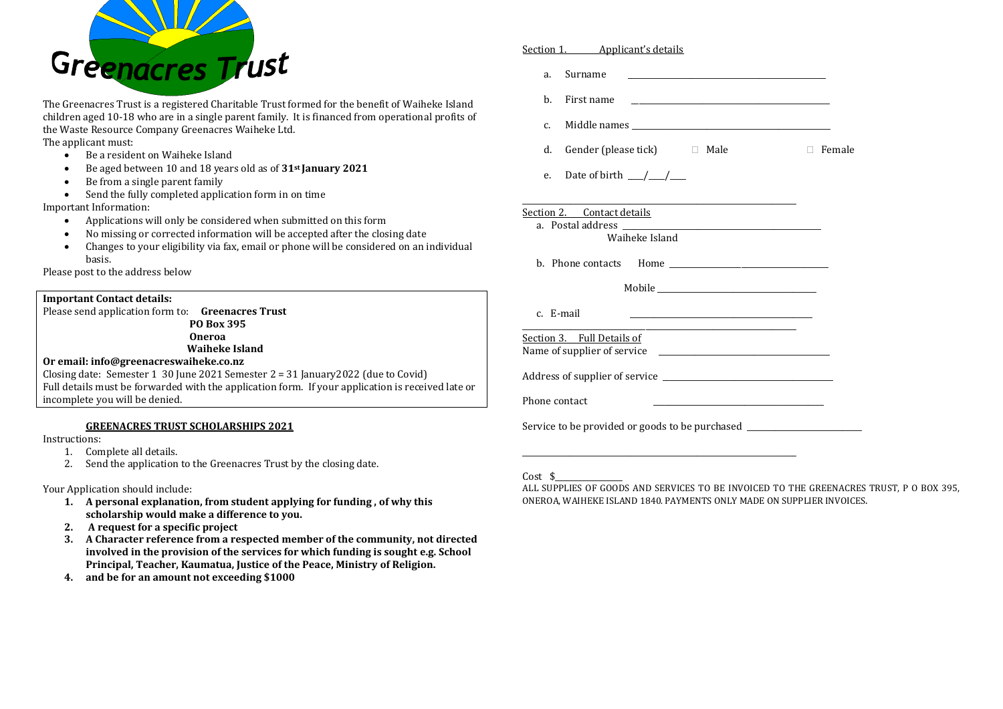

The Greenacres Trust is a registered Charitable Trust formed for the benefit of Waiheke Island children aged 10-18 who are in a single parent family. It is financed from operational profits of the Waste Resource Company Greenacres Waiheke Ltd. The applicant must:

- Be a resident on Waiheke Island
- Be aged between 10 and 18 years old as of **31st January 2021**
- Be from a single parent family
- Send the fully completed application form in on time

Important Information:

- Applications will only be considered when submitted on this form
- No missing or corrected information will be accepted after the closing date
- Changes to your eligibility via fax, email or phone will be considered on an individual basis.

Please post to the address below

## **Important Contact details:**

Please send application form to: **Greenacres Trust PO Box 395 Oneroa Waiheke Island**

### **Or email: info@greenacreswaiheke.co.nz**

Closing date: Semester 1 30 June 2021 Semester  $2 = 31$  January 2022 (due to Covid) Full details must be forwarded with the application form. If your application is received late or incomplete you will be denied.

## **GREENACRES TRUST SCHOLARSHIPS 2021**

Instructions:

- 1. Complete all details.
- 2. Send the application to the Greenacres Trust by the closing date.

#### Your Application should include:

- **1. A personal explanation, from student applying for funding , of why this scholarship would make a difference to you.**
- **2. A request for a specific project**
- **3. A Character reference from a respected member of the community, not directed involved in the provision of the services for which funding is sought e.g. School Principal, Teacher, Kaumatua, Justice of the Peace, Ministry of Religion.**
- **4. and be for an amount not exceeding \$1000**

| a.                          | Surname                                                                    |               |  |
|-----------------------------|----------------------------------------------------------------------------|---------------|--|
| b.                          | First name                                                                 |               |  |
| c.                          |                                                                            |               |  |
| d.                          | Gender (please tick) $\Box$ Male                                           | $\Box$ Female |  |
| e.                          | Date of birth $\frac{\mu}{\sigma}$                                         |               |  |
|                             | Section 2. Contact details<br>Waiheke Island                               |               |  |
|                             |                                                                            |               |  |
|                             |                                                                            |               |  |
|                             | c. E-mail                                                                  |               |  |
|                             | Section 3. Full Details of                                                 |               |  |
|                             |                                                                            |               |  |
| Phone contact               |                                                                            |               |  |
|                             | Service to be provided or goods to be purchased __________________________ |               |  |
|                             |                                                                            |               |  |
| $C_{\alpha\alpha}$ + $\phi$ |                                                                            |               |  |

## Cost \$\_\_\_\_\_\_\_\_\_\_\_\_\_\_\_\_\_

Section 1. Applicant's details

ALL SUPPLIES OF GOODS AND SERVICES TO BE INVOICED TO THE GREENACRES TRUST, P O BOX 395, ONEROA, WAIHEKE ISLAND 1840. PAYMENTS ONLY MADE ON SUPPLIER INVOICES.